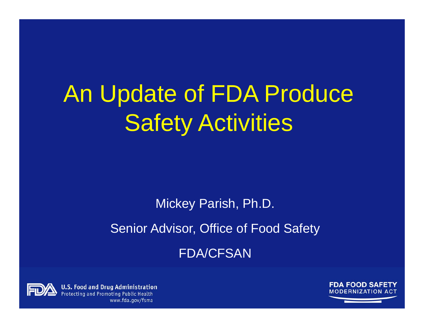# An Update of FDA Produce Safety Activities

Mickey Parish, Ph.D. Senior Advisor, Office of Food Safety FDA/CFSAN



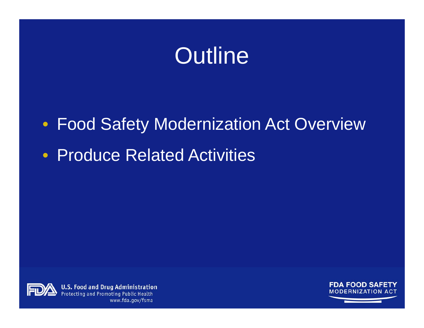### **Outline**

• Food Safety Modernization Act Overview

• Produce Related Activities



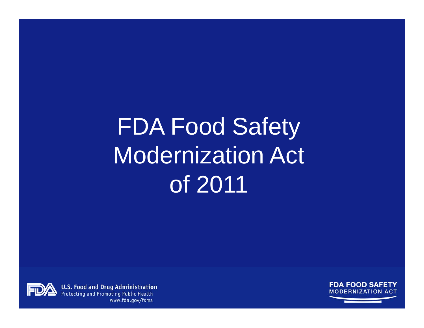# FDA Food Safety Modernization Act of 2011

**FDA FOOD SAFETY MODERNIZATION ACT** 

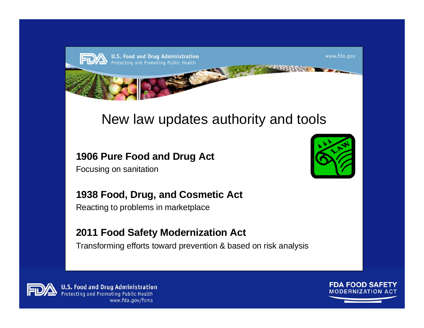

### New law updates authority and tools

#### **1906 Pure Food and Drug Act**

Focusing on sanitation



#### **1938 Food, Drug, and Cosmetic Act**

Reacting to problems in marketplace

#### **2011 Food Safety Modernization Act**

Transforming efforts toward prevention & based on risk analysis



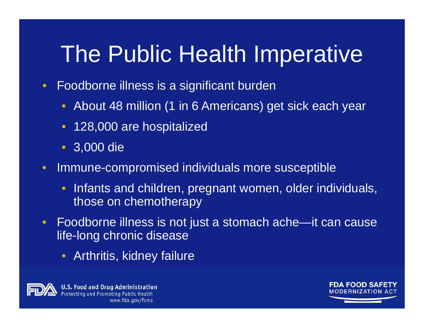# The Public Health Imperative

- • Foodborne illness is a significant burden
	- About 48 million (1 in 6 Americans) get sick each year
	- 128,000 are hospitalized
	- 3,000 die
- • Immune-compromised individuals more susceptible
	- $\bullet$  Infants and children, pregnant women, older individuals, those on chemotherapy
- $\bullet$  Foodborne illness is not just a stomach ache—it can cause life-long chronic disease
	- Arthritis, kidney failure



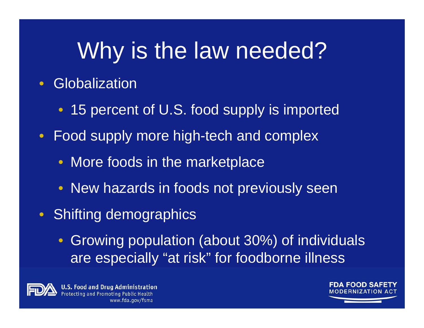### Why is the law needed?

#### $\bullet$ **• Globalization**

- 15 percent of U.S. food supply is imported
- $\bullet$  Food supply more high-tech and complex
	- More foods in the marketplace
	- New hazards in foods not previously seen
- Shifting demographics
	- $\bullet$  Growing population (about 30%) of individuals are especially "at risk" for foodborne illness



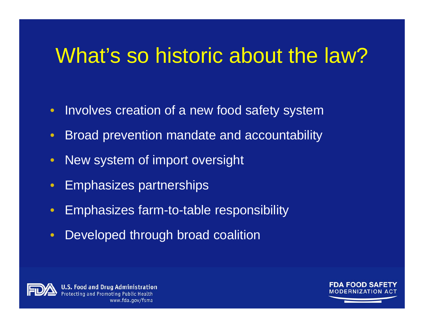### What's so historic about the law?

- $\bullet$ Involves creation of a new food safety system
- $\bullet$ Broad prevention mandate and accountability
- $\bullet$ New system of import oversight
- $\bullet$ Emphasizes partnerships
- $\bullet$ Emphasizes farm-to-table responsibility
- $\bullet$ Developed through broad coalition



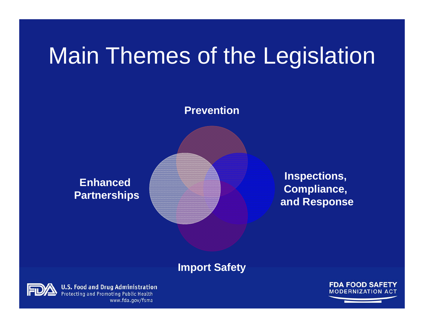### Main Themes of the Legislation

**Prevention**

**Enhanced Partnerships**

**Inspections, Compliance, and Response**

#### **Import Safety**



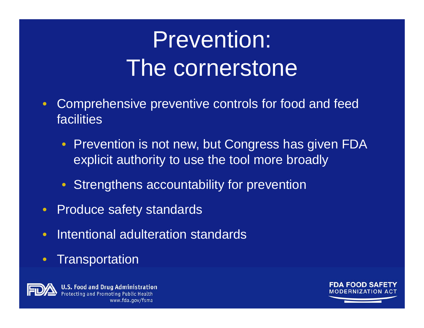# Prevention: The cornerstone

- $\bullet$  Comprehensive preventive controls for food and feed facilities
	- $\bullet$  Prevention is not new, but Congress has given FDA explicit authority to use the tool more broadly
	- **Strengthens accountability for prevention**
- •Produce safety standards
- •• Intentional adulteration standards
- $\bullet$ **Transportation**



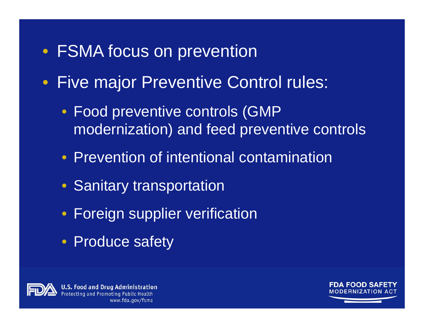### • FSMA focus on prevention

- $\bullet$  Five major Preventive Control rules:
	- Food preventive controls (GMP modernization) and feed preventive controls
	- Prevention of intentional contamination
	- Sanitary transportation
	- Foreign supplier verification
	- Produce safety



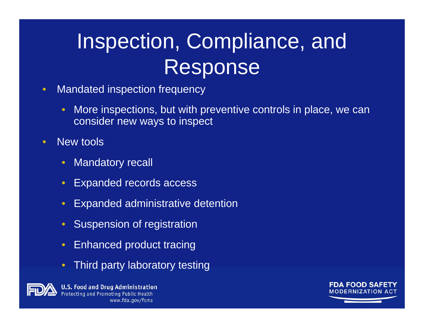### Inspection, Compliance, and Response

- • Mandated inspection frequency
	- $\bullet$  More inspections, but with preventive controls in place, we can consider new ways to inspect
- • New tools
	- $\bullet$ Mandatory recall
	- $\mathbf C$ Expanded records access
	- $\bullet$ Expanded administrative detention
	- Suspension of registration
	- $\bullet$ Enhanced product tracing
	- $\bullet$ Third party laboratory testing



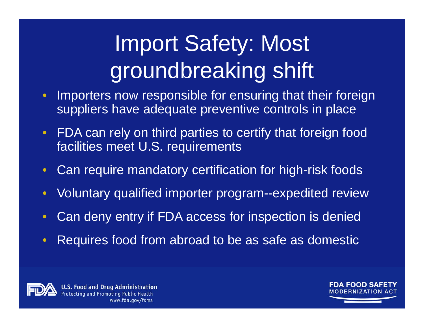# Import Safety: Most groundbreaking shift

- $\bullet$  Importers now responsible for ensuring that their foreign suppliers have adequate preventive controls in place
- • FDA can rely on third parties to certify that foreign food facilities meet U.S. requirements
- $\bullet$ Can require mandatory certification for high-risk foods
- $\bullet$ Voluntary qualified importer program--expedited review
- •Can deny entry if FDA access for inspection is denied
- •Requires food from abroad to be as safe as domestic



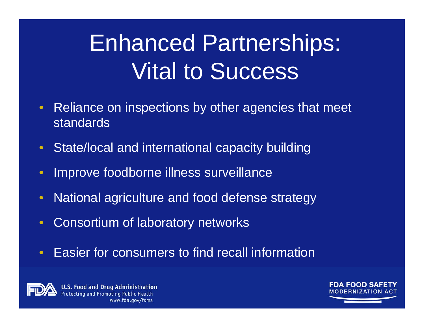# Enhanced Partnerships: Vital to Success

- $\bullet$  Reliance on inspections by other agencies that meet standards
- State/local and international capacity building
- $\bullet$ Improve foodborne illness surveillance
- $\bullet$ National agriculture and food defense strategy
- $\bullet$ Consortium of laboratory networks
- $\bullet$ Easier for consumers to find recall information



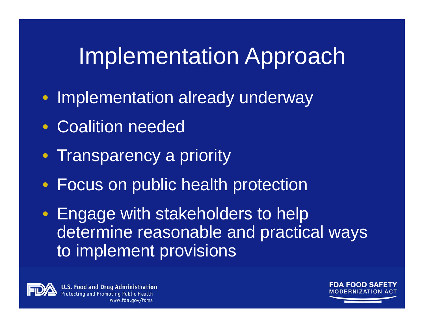### Implementation Approach

- Implementation already underway
- $\bullet$ Coalition needed
- •**Transparency a priority**
- Focus on public health protection

• Engage with stakeholders to help determine reasonable and practical ways to implement provisions



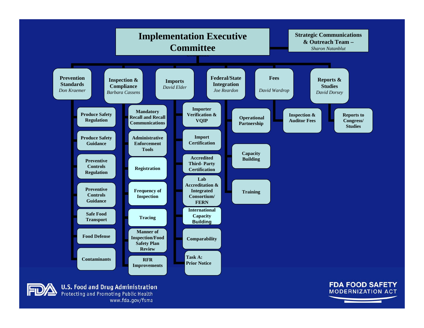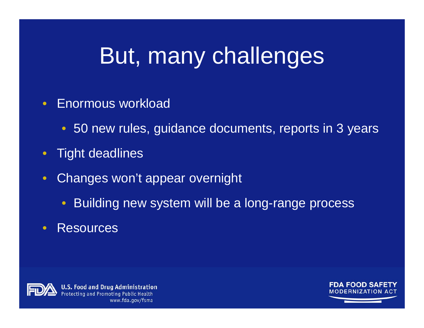### But, many challenges

#### •Enormous workload

- 50 new rules, guidance documents, reports in 3 years
- •Tight deadlines
- • Changes won't appear overnight
	- $\bullet$ Building new system will be a long-range process
- $\bullet$ **Resources**



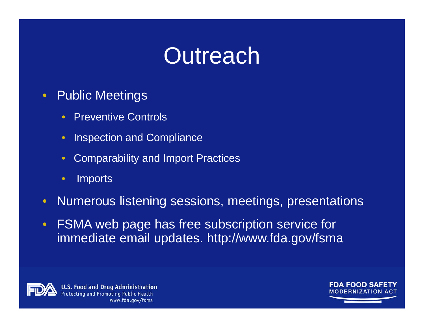### **Outreach**

- • Public Meetings
	- $\bullet$ Preventive Controls
	- $\bullet$ Inspection and Compliance
	- $\bullet$ Comparability and Import Practices
	- •**Imports**
- •Numerous listening sessions, meetings, presentations
- • FSMA web page has free subscription service for immediate email updates. http://www.fda.gov/fsma



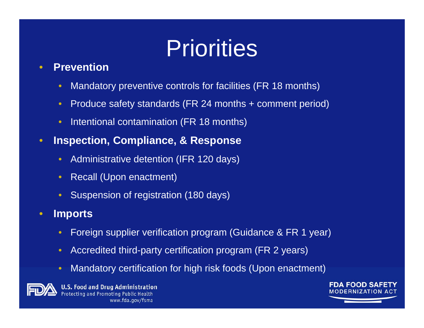### **Priorities**

#### •**Prevention**

- •Mandatory preventive controls for facilities (FR 18 months)
- •Produce safety standards (FR 24 months + comment period)
- •Intentional contamination (FR 18 months)
- • **Inspection, Compliance, & Response** 
	- •Administrative detention (IFR 120 days)
	- •Recall (Upon enactment)
	- •Suspension of registration (180 days)

#### •**Imports**

- •Foreign supplier verification program (Guidance & FR 1 year)
- •Accredited third-party certification program (FR 2 years)
- •Mandatory certification for high risk foods (Upon enactment)



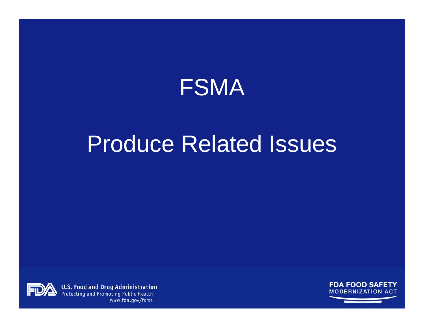

### Produce Related Issues



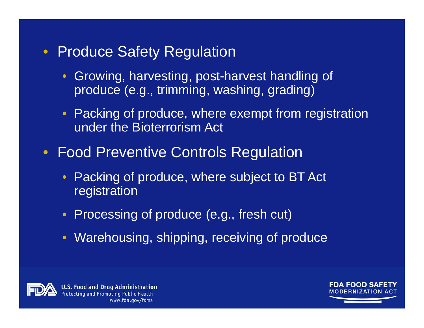### • Produce Safety Regulation

- Growing, harvesting, post-harvest handling of produce (e.g., trimming, washing, grading)
- Packing of produce, where exempt from registration under the Bioterrorism Act
- $\bullet$  Food Preventive Controls Regulation
	- Packing of produce, where subject to BT Act registration
	- Processing of produce (e.g., fresh cut)
	- Warehousing, shipping, receiving of produce



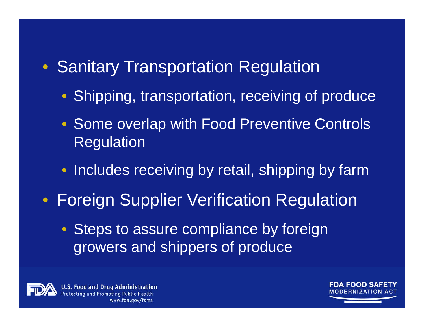### • Sanitary Transportation Regulation

- Shipping, transportation, receiving of produce
- Some overlap with Food Preventive Controls Regulation
- Includes receiving by retail, shipping by farm
- Foreign Supplier Verification Regulation
	- Steps to assure compliance by foreign growers and shippers of produce



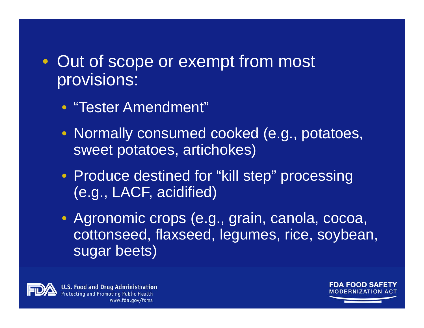### • Out of scope or exempt from most provisions:

- "Tester Amendment"
- Normally consumed cooked (e.g., potatoes, sweet potatoes, artichokes)
- Produce destined for "kill step" processing (e.g., LACF, acidified)
- Agronomic crops (e.g., grain, canola, cocoa, cottonseed, flaxseed, legumes, rice, soybean, sugar beets)



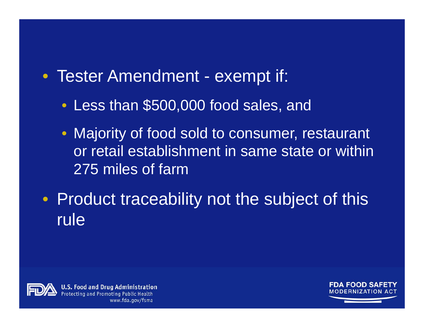- Tester Amendment exempt if:
	- Less than \$500,000 food sales, and
	- Majority of food sold to consumer, restaurant or retail establishment in same state or within 275 miles of farm
- Product traceability not the subject of this rule



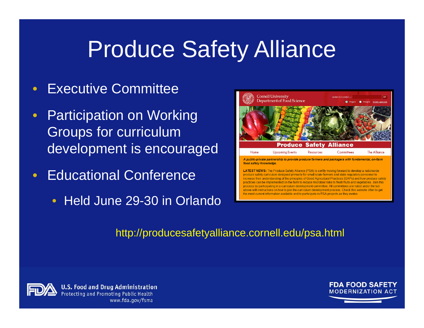### Produce Safety Alliance

- $\bullet$ Executive Committee
- $\bullet$  Participation on Working Groups for curriculum development is encouraged
- •• Educational Conference
	- Held June 29-30 in Orlando



#### http://producesafetyalliance.cornell.edu/psa.html



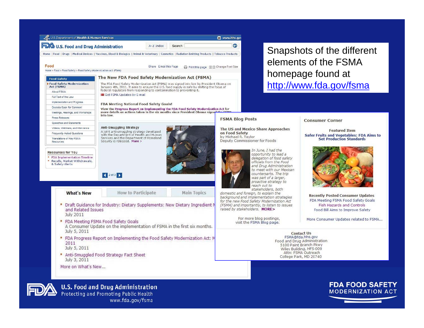

www.fda.gov/fsma

**FDA FOOD SAFETY**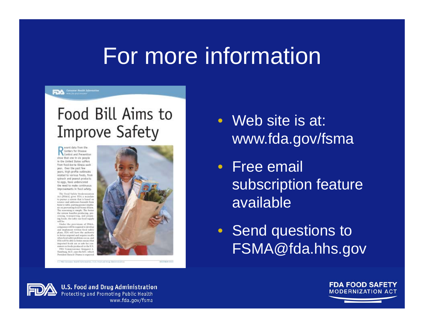### For more information

#### **FDA** Conserve Next Adventure

### Food Bill Aims to **Improve Safety**

opent data from the Centers for Disease Control and Prevention show that one in six people in the United States suffers from food-borne Illness each year, Over the past few years, high-profile outbreaks related to various foods, from spinach and peanut products. to eggs, have underscored the need to make continuous Improvements in food safety.

The Food Safety Modernization<br>Act (FSMA) gives FDA a mondate to pursue a system that is based on<br>science and addresses huzards from farm to table, putting greater empha sia on preventing food-borne illness. The reasoning is nimple. The better the system handles producing, processing, trompecting, and preparing feeds, the safer our food supply will be

Under the provisions of FSMA companies will be sequeed to develop and intelement written food sufety plam, EDA will have the authority to better respond and require recalls<br>when food safety problems occur, and FDA will be able to better entancition. imported foods are as safe for consumers as foods produced in the U.S. FDA Commissioner Margaret A Hamburg, M.D., says the bill-which President Batock Obama is expected



- Web site is at: www.fda.gov/fsma
- Free email subscription feature available
- Send questions to FSMA@fda.hhs.gov



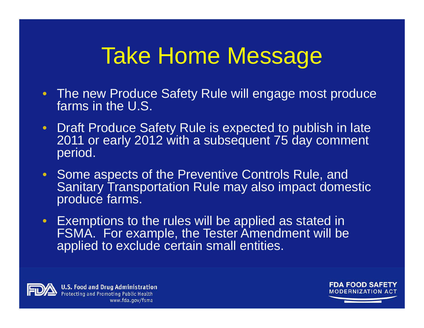### Take Home Message

- The new Produce Safety Rule will engage most produce farms in the U.S.
- $\bullet$  Draft Produce Safety Rule is expected to publish in late 2011 or early 2012 with a subsequent 75 day comment period.
- Some aspects of the Preventive Controls Rule, and Sanitary Transportation Rule may also impact domestic produce farms.
- $\bullet$  Exemptions to the rules will be applied as stated in FSMA. For example, the Tester Amendment will be applied to exclude certain small entities.



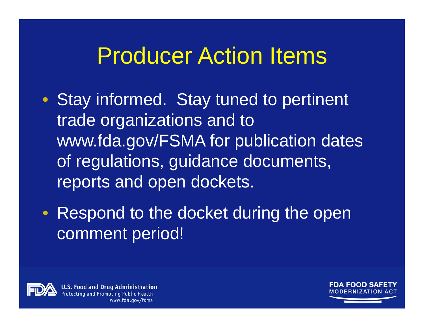### Producer Action Items

- Stay informed. Stay tuned to pertinent trade organizations and to www.fda.gov/FSMA for publication dates of regulations, guidance documents, reports and open dockets.
- Respond to the docket during the open comment period!



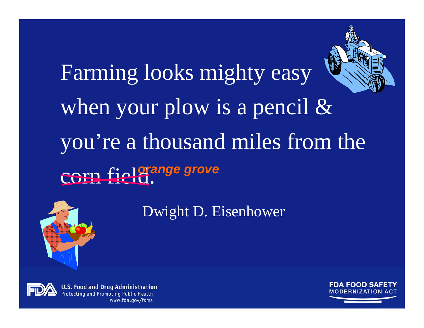# Farming looks mighty easy when your plow is a pencil & you're a thousand miles from the corn field. *orange grove*



Dwight D. Eisenhower